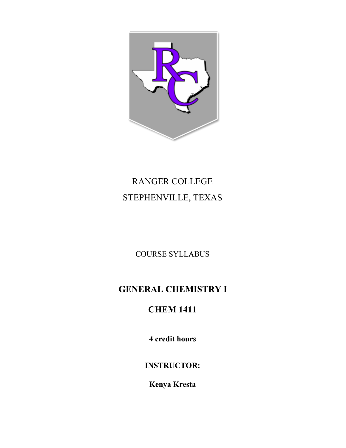

# RANGER COLLEGE STEPHENVILLE, TEXAS

COURSE SYLLABUS

# **GENERAL CHEMISTRY I**

# **CHEM 1411**

**4 credit hours**

**INSTRUCTOR:**

**Kenya Kresta**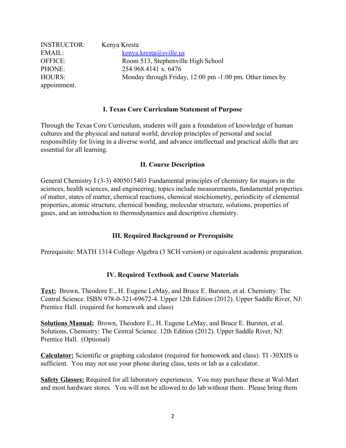| <b>INSTRUCTOR:</b> | Kenya Kresta                                             |
|--------------------|----------------------------------------------------------|
| EMAIL:             | kenya.kresta@sville.us                                   |
| <b>OFFICE:</b>     | Room 513, Stephenville High School                       |
| PHONE:             | 254.968.4141 x, 6476                                     |
| HOURS:             | Monday through Friday, 12:00 pm -1:00 pm. Other times by |
| appointment.       |                                                          |

#### **I. Texas Core Curriculum Statement of Purpose**

Through the Texas Core Curriculum, students will gain a foundation of knowledge of human cultures and the physical and natural world, develop principles of personal and social responsibility for living in a diverse world, and advance intellectual and practical skills that are essential for all learning.

#### **II. Course Description**

General Chemistry I (3-3) 4005015403 Fundamental principles of chemistry for majors in the sciences, health sciences, and engineering; topics include measurements, fundamental properties of matter, states of matter, chemical reactions, chemical stoichiometry, periodicity of elemental properties, atomic structure, chemical bonding, molecular structure, solutions, properties of gases, and an introduction to thermodynamics and descriptive chemistry.

## **III. Required Background or Prerequisite**

Prerequisite: MATH 1314 College Algebra (3 SCH version) or equivalent academic preparation.

## **IV. Required Textbook and Course Materials**

**Text:** Brown, Theodore E., H. Eugene LeMay, and Bruce E. Bursten, et al. Chemistry: The Central Science. ISBN 978-0-321-69672-4. Upper 12th Edition (2012). Upper Saddle River, NJ: Prentice Hall. (required for homework and class)

**Solutions Manual:** Brown, Theodore E., H. Eugene LeMay, and Bruce E. Bursten, et al. Solutions, Chemistry: The Central Science. 12th Edition (2012). Upper Saddle River, NJ: Prentice Hall. (Optional)

**Calculator:** Scientific or graphing calculator (required for homework and class). TI -30XIIS is sufficient. You may not use your phone during class, tests or lab as a calculator.

**Safety Glasses:** Required for all laboratory experiences. You may purchase these at Wal-Mart and most hardware stores. You will not be allowed to do lab without them. Please bring them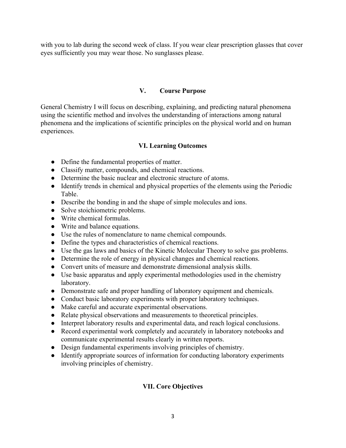with you to lab during the second week of class. If you wear clear prescription glasses that cover eyes sufficiently you may wear those. No sunglasses please.

## **V. Course Purpose**

General Chemistry I will focus on describing, explaining, and predicting natural phenomena using the scientific method and involves the understanding of interactions among natural phenomena and the implications of scientific principles on the physical world and on human experiences.

## **VI. Learning Outcomes**

- Define the fundamental properties of matter.
- Classify matter, compounds, and chemical reactions.
- Determine the basic nuclear and electronic structure of atoms.
- Identify trends in chemical and physical properties of the elements using the Periodic Table.
- Describe the bonding in and the shape of simple molecules and ions.
- Solve stoichiometric problems.
- Write chemical formulas.
- Write and balance equations.
- Use the rules of nomenclature to name chemical compounds.
- Define the types and characteristics of chemical reactions.
- Use the gas laws and basics of the Kinetic Molecular Theory to solve gas problems.
- Determine the role of energy in physical changes and chemical reactions.
- Convert units of measure and demonstrate dimensional analysis skills.
- Use basic apparatus and apply experimental methodologies used in the chemistry laboratory.
- Demonstrate safe and proper handling of laboratory equipment and chemicals.
- Conduct basic laboratory experiments with proper laboratory techniques.
- Make careful and accurate experimental observations.
- Relate physical observations and measurements to theoretical principles.
- Interpret laboratory results and experimental data, and reach logical conclusions.
- Record experimental work completely and accurately in laboratory notebooks and communicate experimental results clearly in written reports.
- Design fundamental experiments involving principles of chemistry.
- Identify appropriate sources of information for conducting laboratory experiments involving principles of chemistry.

## **VII. Core Objectives**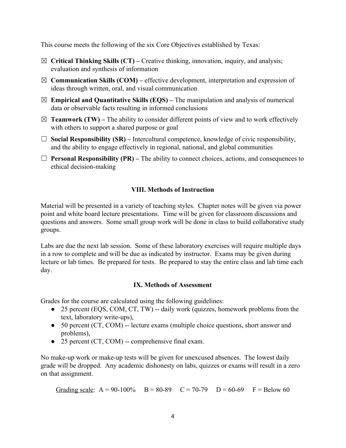This course meets the following of the six Core Objectives established by Texas:

- ☒ **Critical Thinking Skills (CT)** Creative thinking, innovation, inquiry, and analysis; evaluation and synthesis of information
- $\boxtimes$  **Communication Skills (COM)** effective development, interpretation and expression of ideas through written, oral, and visual communication
- $\boxtimes$  **Empirical and Quantitative Skills (EQS)** The manipulation and analysis of numerical data or observable facts resulting in informed conclusions
- $\boxtimes$  **Teamwork (TW)** The ability to consider different points of view and to work effectively with others to support a shared purpose or goal
- $\Box$  **Social Responsibility (SR)** Intercultural competence, knowledge of civic responsibility, and the ability to engage effectively in regional, national, and global communities
- $\Box$  **Personal Responsibility (PR)** The ability to connect choices, actions, and consequences to ethical decision-making

## **VIII. Methods of Instruction**

Material will be presented in a variety of teaching styles. Chapter notes will be given via power point and white board lecture presentations. Time will be given for classroom discussions and questions and answers. Some small group work will be done in class to build collaborative study groups.

Labs are due the next lab session. Some of these laboratory exercises will require multiple days in a row to complete and will be due as indicated by instructor. Exams may be given during lecture or lab times. Be prepared for tests. Be prepared to stay the entire class and lab time each day.

## **IX. Methods of Assessment**

Grades for the course are calculated using the following guidelines:

- 25 percent (EQS, COM, CT, TW) -- daily work (quizzes, homework problems from the text, laboratory write-ups),
- 50 percent (CT, COM) -- lecture exams (multiple choice questions, short answer and problems),
- 25 percent (CT, COM) -- comprehensive final exam.

No make-up work or make-up tests will be given for unexcused absences. The lowest daily grade will be dropped. Any academic dishonesty on labs, quizzes or exams will result in a zero on that assignment.

Grading scale:  $A = 90-100\%$  B = 80-89 C = 70-79 D = 60-69 F = Below 60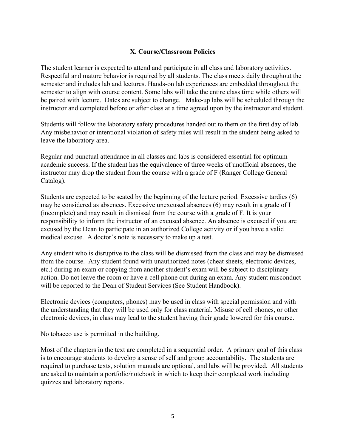## **X. Course/Classroom Policies**

The student learner is expected to attend and participate in all class and laboratory activities. Respectful and mature behavior is required by all students. The class meets daily throughout the semester and includes lab and lectures. Hands-on lab experiences are embedded throughout the semester to align with course content. Some labs will take the entire class time while others will be paired with lecture. Dates are subject to change. Make-up labs will be scheduled through the instructor and completed before or after class at a time agreed upon by the instructor and student.

Students will follow the laboratory safety procedures handed out to them on the first day of lab. Any misbehavior or intentional violation of safety rules will result in the student being asked to leave the laboratory area.

Regular and punctual attendance in all classes and labs is considered essential for optimum academic success. If the student has the equivalence of three weeks of unofficial absences, the instructor may drop the student from the course with a grade of F (Ranger College General Catalog).

Students are expected to be seated by the beginning of the lecture period. Excessive tardies (6) may be considered as absences. Excessive unexcused absences (6) may result in a grade of I (incomplete) and may result in dismissal from the course with a grade of F. It is your responsibility to inform the instructor of an excused absence. An absence is excused if you are excused by the Dean to participate in an authorized College activity or if you have a valid medical excuse. A doctor's note is necessary to make up a test.

Any student who is disruptive to the class will be dismissed from the class and may be dismissed from the course. Any student found with unauthorized notes (cheat sheets, electronic devices, etc.) during an exam or copying from another student's exam will be subject to disciplinary action. Do not leave the room or have a cell phone out during an exam. Any student misconduct will be reported to the Dean of Student Services (See Student Handbook).

Electronic devices (computers, phones) may be used in class with special permission and with the understanding that they will be used only for class material. Misuse of cell phones, or other electronic devices, in class may lead to the student having their grade lowered for this course.

No tobacco use is permitted in the building.

Most of the chapters in the text are completed in a sequential order. A primary goal of this class is to encourage students to develop a sense of self and group accountability. The students are required to purchase texts, solution manuals are optional, and labs will be provided. All students are asked to maintain a portfolio/notebook in which to keep their completed work including quizzes and laboratory reports.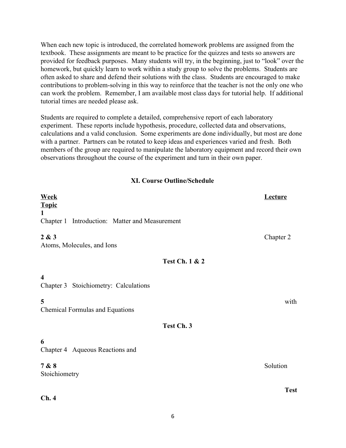When each new topic is introduced, the correlated homework problems are assigned from the textbook. These assignments are meant to be practice for the quizzes and tests so answers are provided for feedback purposes. Many students will try, in the beginning, just to "look" over the homework, but quickly learn to work within a study group to solve the problems. Students are often asked to share and defend their solutions with the class. Students are encouraged to make contributions to problem-solving in this way to reinforce that the teacher is not the only one who can work the problem. Remember, I am available most class days for tutorial help. If additional tutorial times are needed please ask.

Students are required to complete a detailed, comprehensive report of each laboratory experiment. These reports include hypothesis, procedure, collected data and observations, calculations and a valid conclusion. Some experiments are done individually, but most are done with a partner. Partners can be rotated to keep ideas and experiences varied and fresh. Both members of the group are required to manipulate the laboratory equipment and record their own observations throughout the course of the experiment and turn in their own paper.

#### **XI. Course Outline/Schedule**

| <b>Week</b><br><b>Topic</b>                                      | Lecture     |
|------------------------------------------------------------------|-------------|
| $\mathbf{1}$<br>Chapter 1 Introduction: Matter and Measurement   |             |
| 2 & 3<br>Atoms, Molecules, and Ions                              | Chapter 2   |
| <b>Test Ch. 1 &amp; 2</b>                                        |             |
| $\overline{\mathbf{4}}$<br>Chapter 3 Stoichiometry: Calculations |             |
| 5<br><b>Chemical Formulas and Equations</b>                      | with        |
| Test Ch. 3                                                       |             |
| 6<br>Chapter 4 Aqueous Reactions and                             |             |
| 7 & 8<br>Stoichiometry                                           | Solution    |
| Ch.4                                                             | <b>Test</b> |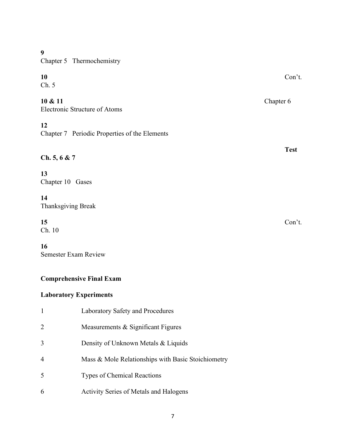#### **9**

Chapter 5 Thermochemistry

## **10** Con't.

Ch. 5

## **10 & 11** Chapter 6

Electronic Structure of Atoms

## **12**

Chapter 7 Periodic Properties of the Elements

## **Ch. 5, 6 & 7**

## **13**

Chapter 10 Gases

## **14**

Thanksgiving Break

# **15** Con't.

Ch. 10

## **16**

Semester Exam Review

## **Comprehensive Final Exam**

## **Laboratory Experiments**

| $\mathbf{1}$   | Laboratory Safety and Procedures                   |
|----------------|----------------------------------------------------|
| 2              | Measurements & Significant Figures                 |
| 3              | Density of Unknown Metals & Liquids                |
| $\overline{4}$ | Mass & Mole Relationships with Basic Stoichiometry |
| 5              | <b>Types of Chemical Reactions</b>                 |
| 6              | <b>Activity Series of Metals and Halogens</b>      |

**Test**